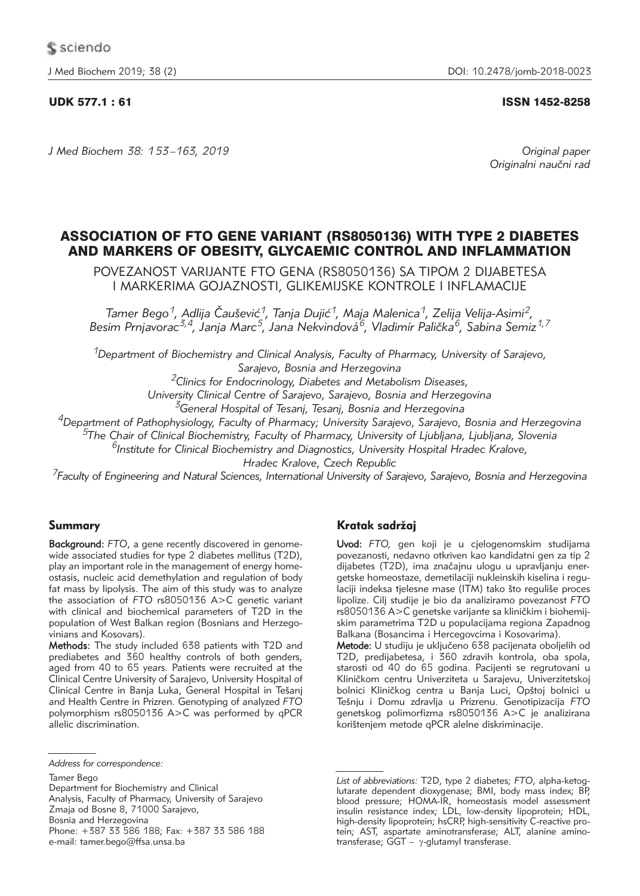J Med Biochem 2019; 38 (2) DOI: 10.2478/jomb-2018-0023

## UDK 577.1 : 61 ISSN 1452-8258

*J Med Biochem 38: 153 –163, 2019 Original paper*

Originalni naučni rad

# ASSOCIATION OF FTO GENE VARIANT (RS8050136) WITH TYPE 2 DIABETES AND MARKERS OF OBESITY, GLYCAEMIC CONTROL AND INFLAMMATION

POVEZANOST VARIJANTE FTO GENA (RS8050136) SA TIPOM 2 DIJABETESA I MARKERIMA GOJAZNOSTI, GLIKEMIJSKE KONTROLE I INFLAMACIJE

*Tamer Bego1, Adlija ^au{evi}1, Tanja Duji}1, Maja Malenica1, Zelija Velija-Asimi2,*  Besim Prnjavorac<sup>3,4</sup>, Janja Marc<sup>5</sup>, Jana Nekvindová<sup>6</sup>, Vladimír Palička<sup>6</sup>, Sabina Semiz<sup>1,7</sup>

*1Department of Biochemistry and Clinical Analysis, Faculty of Pharmacy, University of Sarajevo, Sarajevo, Bosnia and Herzegovina*

*2Clinics for Endocrinology, Diabetes and Metabolism Diseases,* 

*University Clinical Centre of Sarajevo, Sarajevo, Bosnia and Herzegovina*

*3General Hospital of Tesanj, Tesanj, Bosnia and Herzegovina*

*4Department of Pathophysiology, Faculty of Pharmacy; University Sarajevo, Sarajevo, Bosnia and Herzegovina*

*5The Chair of Clinical Biochemistry, Faculty of Pharmacy, University of Ljubljana, Ljubljana, Slovenia*

*6Institute for Clinical Biochemistry and Diagnostics, University Hospital Hradec Kralove,* 

*Hradec Kralove, Czech Republic*

*7Faculty of Engineering and Natural Sciences, International University of Sarajevo, Sarajevo, Bosnia and Herzegovina*

# Summary

Background: *FTO*, a gene recently discovered in genomewide associated studies for type 2 diabetes mellitus (T2D), play an important role in the management of energy homeostasis, nucleic acid demethylation and regulation of body fat mass by lipolysis. The aim of this study was to analyze the association of *FTO* rs8050136 A>C genetic variant with clinical and biochemical parameters of T2D in the population of West Balkan region (Bosnians and Herzegovinians and Kosovars).

Methods: The study included 638 patients with T2D and prediabetes and 360 healthy controls of both genders, aged from 40 to 65 years. Patients were recruited at the Clinical Centre University of Sarajevo, University Hospital of Clinical Centre in Banja Luka, General Hospital in Tešanj and Health Centre in Prizren. Genotyping of analyzed *FTO* polymorphism rs8050136 A>C was performed by qPCR allelic discrimination.

Department for Biochemistry and Clinical Analysis, Faculty of Pharmacy, University of Sarajevo Zmaja od Bosne 8, 71000 Sarajevo, Bosnia and Herzegovina Phone: +387 33 586 188; Fax: +387 33 586 188 e-mail: tamer.bego@ffsa.unsa.ba

# Kratak sadržai

Uvod: *FTO,* gen koji je u cjelogenomskim studijama povezanosti, nedavno otkriven kao kandidatni gen za tip 2 dijabetes (T2D), ima značajnu ulogu u upravljanju energetske homeostaze, demetilaciji nukleinskih kiselina i regulaciji indeksa tjelesne mase (ITM) tako što reguliše proces lipolize. Cilj studije je bio da analiziramo povezanost *FTO* rs8050136 A>C genetske varijante sa kliničkim i biohemijskim parametrima T2D u populacijama regiona Zapadnog Balkana (Bosancima i Hercegovcima i Kosovarima).

Metode: U studiju je uključeno 638 pacijenata oboljelih od T2D, predijabetesa, i 360 zdravih kontrola, oba spola, starosti od 40 do 65 godina. Pacijenti se regrutovani u Kliničkom centru Univerziteta u Sarajevu, Univerzitetskoj bolnici Kliničkog centra u Banja Luci, Opštoj bolnici u Te{nju i Domu zdravlja u Prizrenu. Genotipizacija *FTO* genetskog polimorfizma rs8050136 A>C je analizirana korištenjem metode qPCR alelne diskriminacije.

*Address for correspondence:*

Tamer Bego

*List of abbreviations:* T2D, type 2 diabetes; *FTO*, alpha-ketoglutarate dependent dioxygenase; BMI, body mass index; BP, blood pressure; HOMA-IR, homeostasis model assessment insulin resistance index; LDL, low-density lipoprotein; HDL, high-density lipoprotein; hsCRP, high-sensitivity C-reactive protein; AST, aspartate aminotransferase; ALT, alanine aminotransferase;  $GST - \gamma$ -glutamyl transferase.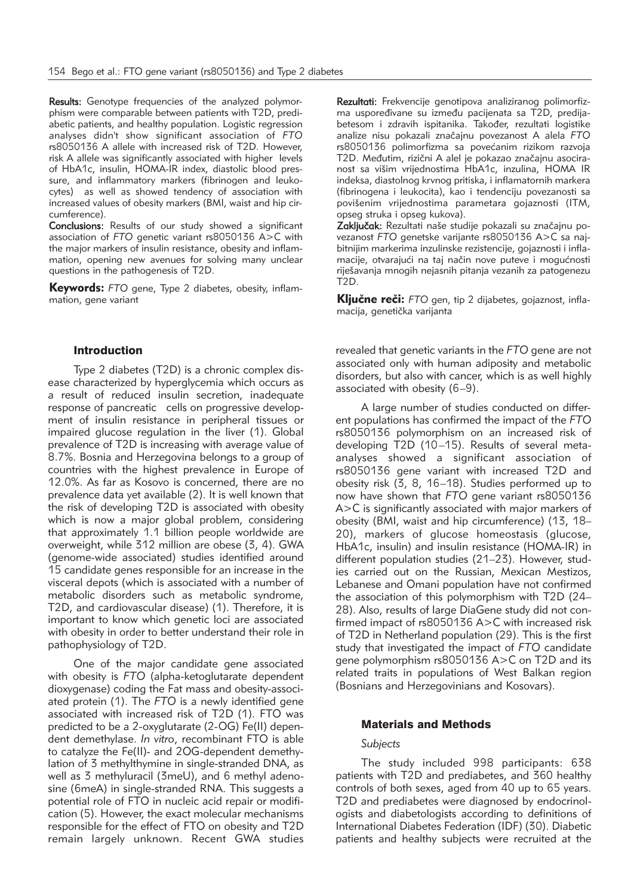Results: Genotype frequencies of the analyzed polymorphism were comparable between patients with T2D, prediabetic patients, and healthy population. Logistic regression analyses didn't show significant association of *FTO* rs8050136 A allele with increased risk of T2D. However, risk A allele was significantly associated with higher levels of HbA1c, insulin, HOMA-IR index, diastolic blood pressure, and inflammatory markers (fibrinogen and leukocytes) as well as showed tendency of association with increased values of obesity markers (BMI, waist and hip circumference).

Conclusions: Results of our study showed a significant association of *FTO* genetic variant rs8050136 A>C with the major markers of insulin resistance, obesity and inflammation, opening new avenues for solving many unclear questions in the pathogenesis of T2D.

Keywords: *FTO* gene, Type 2 diabetes, obesity, inflammation, gene variant

#### Introduction

Type 2 diabetes (T2D) is a chronic complex disease characterized by hyperglycemia which occurs as a result of reduced insulin secretion, inadequate response of pancreatic cells on progressive development of insulin resistance in peripheral tissues or impaired glucose regulation in the liver (1). Global prevalence of T2D is increasing with average value of 8.7%. Bosnia and Herzegovina belongs to a group of countries with the highest prevalence in Europe of 12.0%. As far as Kosovo is concerned, there are no prevalence data yet available (2). It is well known that the risk of developing T2D is associated with obesity which is now a major global problem, considering that approximately 1.1 billion people worldwide are overweight, while 312 million are obese (3, 4). GWA (genome-wide associated) studies identified around 15 candidate genes responsible for an increase in the visceral depots (which is associated with a number of metabolic disorders such as metabolic syndrome, T2D, and cardiovascular disease) (1). Therefore, it is important to know which genetic loci are associated with obesity in order to better understand their role in pathophysiology of T2D.

One of the major candidate gene associated with obesity is *FTO* (alpha-ketoglutarate dependent dioxygenase) coding the Fat mass and obesity-associated protein (1). The *FTO* is a newly identified gene associated with increased risk of T2D (1). FTO was predicted to be a 2-oxyglutarate (2-OG) Fe(II) dependent demethylase. *In vitro*, recombinant FTO is able to catalyze the Fe(II)- and 2OG-dependent demethylation of 3 methylthymine in single-stranded DNA, as well as 3 methyluracil (3meU), and 6 methyl adenosine (6meA) in single-stranded RNA. This suggests a potential role of FTO in nucleic acid repair or modification (5). However, the exact molecular mechanisms responsible for the effect of FTO on obesity and T2D remain largely unknown. Recent GWA studies

Rezultati: Frekvencije genotipova analiziranog polimorfizma uspoređivane su između pacijenata sa T2D, predijabetesom i zdravih ispitanika. Također, rezultati logistike analize nisu pokazali zna~ajnu povezanost A alela *FTO* rs8050136 polimorfizma sa povećanim rizikom razvoja T2D. Međutim, rizični A alel je pokazao značajnu asociranost sa višim vrijednostima HbA1c, inzulina, HOMA IR indeksa, diastolnog krvnog pritiska, i inflamatornih markera (fibrinogena i leukocita), kao i tendenciju povezanosti sa povišenim vrijednostima parametara gojaznosti (ITM, opseg struka i opseg kukova).

Zaključak: Rezultati naše studije pokazali su značajnu povezanost FTO genetske varijante rs8050136 A>C sa najbitnijim markerima inzulinske rezistencije, gojaznosti i inflamacije, otvarajući na taj način nove puteve i mogućnosti riješavanja mnogih nejasnih pitanja vezanih za patogenezu T2D.

Ključne reči: *FTO gen, tip 2 dijabetes, gojaznost, infla*macija, genetička varijanta

revealed that genetic variants in the *FTO* gene are not associated only with human adiposity and metabolic disorders, but also with cancer, which is as well highly associated with obesity (6–9).

A large number of studies conducted on different populations has confirmed the impact of the *FTO* rs8050136 polymorphism on an increased risk of developing T2D (10–15). Results of several metaanalyses showed a significant association of rs8050136 gene variant with increased T2D and obesity risk (3, 8, 16–18). Studies performed up to now have shown that *FTO* gene variant rs8050136 A>C is significantly associated with major markers of obesity (BMI, waist and hip circumference) (13, 18– 20), markers of glucose homeostasis (glucose, HbA1c, insulin) and insulin resistance (HOMA-IR) in different population studies (21–23). However, studies carried out on the Russian, Mexican Mestizos, Lebanese and Omani population have not confirmed the association of this polymorphism with T2D (24– 28). Also, results of large DiaGene study did not confirmed impact of rs8050136 A>C with increased risk of T2D in Netherland population (29). This is the first study that investigated the impact of *FTO* candidate gene polymorphism rs8050136 A>C on T2D and its related traits in populations of West Balkan region (Bosnians and Herzegovinians and Kosovars).

#### Materials and Methods

#### *Subjects*

The study included 998 participants: 638 patients with T2D and prediabetes, and 360 healthy controls of both sexes, aged from 40 up to 65 years. T2D and prediabetes were diagnosed by endocrinologists and diabetologists according to definitions of International Diabetes Federation (IDF) (30). Diabetic patients and healthy subjects were recruited at the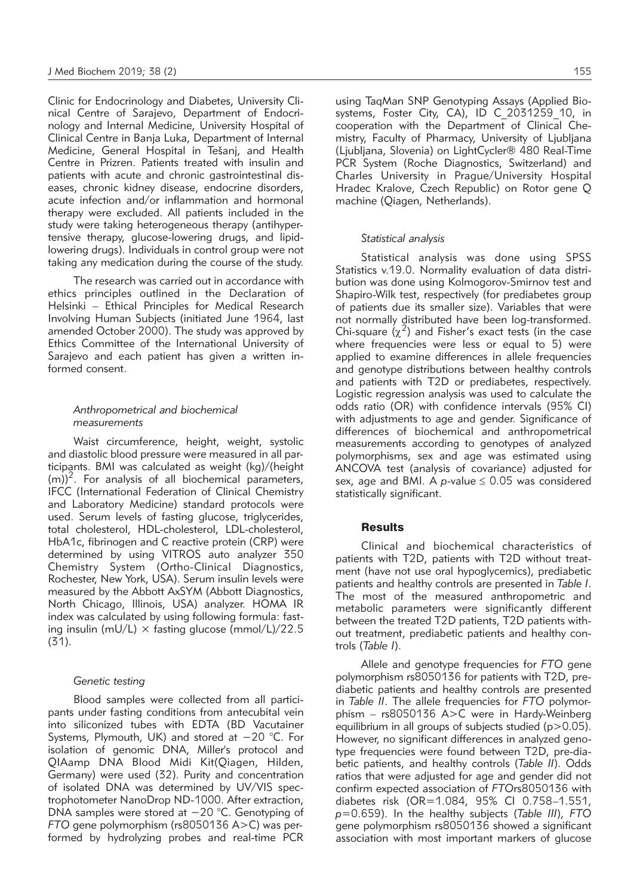Clinic for Endocrinology and Diabetes, University Clinical Centre of Sarajevo, Department of Endocrinology and Internal Medicine, University Hospital of Clinical Centre in Banja Luka, Department of Internal Medicine, General Hospital in Tešanj, and Health Centre in Prizren. Patients treated with insulin and patients with acute and chronic gastrointestinal diseases, chronic kidney disease, endocrine disorders, acute infection and/or inflammation and hormonal therapy were excluded. All patients included in the study were taking heterogeneous therapy (antihypertensive therapy, glucose-lowering drugs, and lipidlowering drugs). Individuals in control group were not taking any medication during the course of the study.

The research was carried out in accordance with ethics principles outlined in the Declaration of Helsinki – Ethical Principles for Medical Research Involving Human Subjects (initiated June 1964, last amended October 2000). The study was approved by Ethics Committee of the International University of Sarajevo and each patient has given a written informed consent.

#### *Anthropometrical and biochemical measurements*

Waist circumference, height, weight, systolic and diastolic blood pressure were measured in all participants. BMI was calculated as weight (kg)/(height  $(m)$ <sup>2</sup>. For analysis of all biochemical parameters, IFCC (International Federation of Clinical Chemistry and Laboratory Medicine) standard protocols were used. Serum levels of fasting glucose, triglycerides, total cholesterol, HDL-cholesterol, LDL-cholesterol, HbA1c, fibrinogen and C reactive protein (CRP) were determined by using VITROS auto analyzer 350 Chemistry System (Ortho-Clinical Diagnostics, Rochester, New York, USA). Serum insulin levels were measured by the Abbott AxSYM (Abbott Diagnostics, North Chicago, Illinois, USA) analyzer. HOMA IR index was calculated by using following formula: fasting insulin (mU/L)  $\times$  fasting glucose (mmol/L)/22.5 (31).

#### *Genetic testing*

Blood samples were collected from all participants under fasting conditions from antecubital vein into siliconized tubes with EDTA (BD Vacutainer Systems, Plymouth, UK) and stored at −20 °C. For isolation of genomic DNA, Miller's protocol and QIAamp DNA Blood Midi Kit(Qiagen, Hilden, Germany) were used (32). Purity and concentration of isolated DNA was determined by UV/VIS spectrophotometer NanoDrop ND-1000. After extraction, DNA samples were stored at −20 °C. Genotyping of *FTO* gene polymorphism (rs8050136 A>C) was performed by hydrolyzing probes and real-time PCR using TaqMan SNP Genotyping Assays (Applied Biosystems, Foster City, CA), ID C \_2031259\_10, in cooperation with the Department of Clinical Chemistry, Faculty of Pharmacy, University of Ljubljana (Ljubljana, Slovenia) on LightCycler® 480 Real-Time PCR System (Roche Diagnostics, Switzerland) and Charles University in Prague/University Hospital Hradec Kralove, Czech Republic) on Rotor gene Q machine (Qiagen, Netherlands).

#### *Statistical analysis*

Statistical analysis was done using SPSS Statistics v.19.0. Normality evaluation of data distribution was done using Kolmogorov-Smirnov test and Shapiro-Wilk test, respectively (for prediabetes group of patients due its smaller size). Variables that were not normally distributed have been log-transformed. Chi-square  $(\chi^2)$  and Fisher's exact tests (in the case where frequencies were less or equal to 5) were applied to examine differences in allele frequencies and genotype distributions between healthy controls and patients with T2D or prediabetes, respectively. Logistic regression analysis was used to calculate the odds ratio (OR) with confidence intervals (95% CI) with adjustments to age and gender. Significance of differences of biochemical and anthropometrical measurements according to genotypes of analyzed polymorphisms, sex and age was estimated using ANCOVA test (analysis of covariance) adjusted for sex, age and BMI. A  $p$ -value  $\leq$  0.05 was considered statistically significant.

#### **Results**

Clinical and biochemical characteristics of patients with T2D, patients with T2D without treatment (have not use oral hypoglycemics), prediabetic patients and healthy controls are presented in *Table I*. The most of the measured anthropometric and metabolic parameters were significantly different between the treated T2D patients, T2D patients without treatment, prediabetic patients and healthy controls (*Table I*).

Allele and genotype frequencies for *FTO* gene polymorphism rs8050136 for patients with T2D, prediabetic patients and healthy controls are presented in *Table II*. The allele frequencies for *FTO* polymorphism – rs8050136 A>C were in Hardy-Weinberg equilibrium in all groups of subjects studied ( $p > 0.05$ ). However, no significant differences in analyzed genotype frequencies were found between T2D, pre-diabetic patients, and healthy controls (*Table II*). Odds ratios that were adjusted for age and gender did not confirm expected association of *FTO*rs8050136 with diabetes risk (OR=1.084, 95% CI 0.758–1.551, *p*=0.659). In the healthy subjects (*Table III*), *FTO* gene polymorphism rs8050136 showed a significant association with most important markers of glucose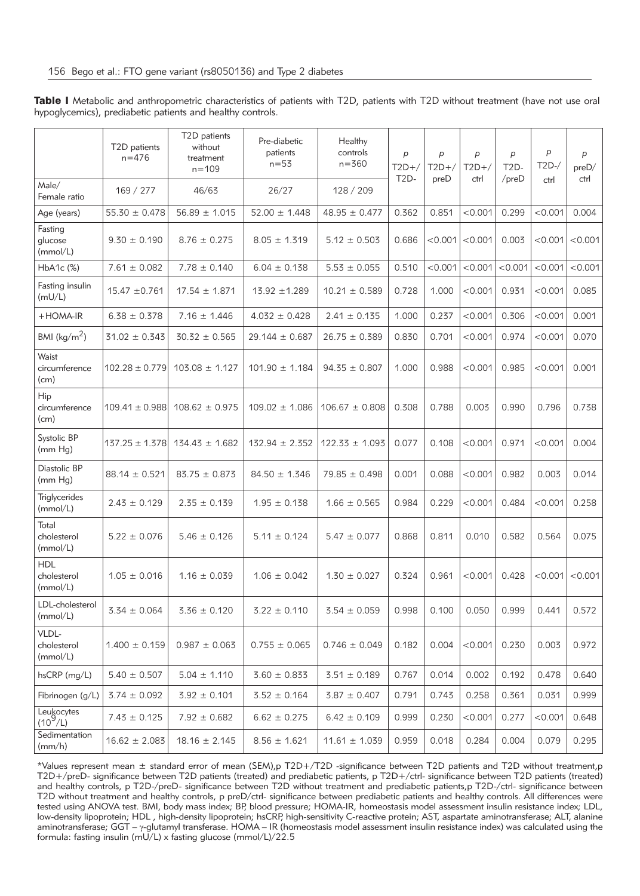|  | Table I Metabolic and anthropometric characteristics of patients with T2D, patients with T2D without treatment (have not use oral |  |  |  |  |  |
|--|-----------------------------------------------------------------------------------------------------------------------------------|--|--|--|--|--|
|  | hypoglycemics), prediabetic patients and healthy controls.                                                                        |  |  |  |  |  |

|                                       | T2D patients<br>$n = 476$ | T2D patients<br>without<br>treatment<br>$n = 109$ | Pre-diabetic<br>patients<br>$n = 53$ | Healthy<br>controls<br>$n = 360$ | $\boldsymbol{p}$<br>$T2D+/-$<br>$T2D-$ | p<br>$T2D+/-$ | $\overline{p}$<br>$T2D+/$ | p<br>$T2D-$ | p<br>$T2D-$ | $\boldsymbol{p}$<br>preD/ |
|---------------------------------------|---------------------------|---------------------------------------------------|--------------------------------------|----------------------------------|----------------------------------------|---------------|---------------------------|-------------|-------------|---------------------------|
| Male/<br>Female ratio                 | 169 / 277                 | 46/63                                             | 26/27                                | 128 / 209                        |                                        | preD          | ctrl                      | $/$ preD    | ctrl        | ctrl                      |
| Age (years)                           | $55.30 \pm 0.478$         | $56.89 \pm 1.015$                                 | $52.00 \pm 1.448$                    | $48.95 \pm 0.477$                | 0.362                                  | 0.851         | < 0.001                   | 0.299       | < 0.001     | 0.004                     |
| Fasting<br>glucose<br>(mmol/L)        | $9.30 \pm 0.190$          | $8.76 \pm 0.275$                                  | $8.05 \pm 1.319$                     | $5.12 \pm 0.503$                 | 0.686                                  | < 0.001       | < 0.001                   | 0.003       | < 0.001     | < 0.001                   |
| HbA1c (%)                             | $7.61 \pm 0.082$          | $7.78 \pm 0.140$                                  | $6.04 \pm 0.138$                     | $5.53 \pm 0.055$                 | 0.510                                  | < 0.001       | < 0.001                   | < 0.001     | < 0.001     | < 0.001                   |
| Fasting insulin<br>(mU/L)             | $15.47 \pm 0.761$         | $17.54 \pm 1.871$                                 | $13.92 \pm 1.289$                    | $10.21 \pm 0.589$                | 0.728                                  | 1.000         | < 0.001                   | 0.931       | < 0.001     | 0.085                     |
| $+$ HOMA-IR                           | $6.38 \pm 0.378$          | $7.16 \pm 1.446$                                  | $4.032 \pm 0.428$                    | $2.41 \pm 0.135$                 | 1.000                                  | 0.237         | < 0.001                   | 0.306       | < 0.001     | 0.001                     |
| BMI ( $\text{kg/m}^2$ )               | $31.02 \pm 0.343$         | $30.32 \pm 0.565$                                 | $29.144 \pm 0.687$                   | $26.75 \pm 0.389$                | 0.830                                  | 0.701         | < 0.001                   | 0.974       | < 0.001     | 0.070                     |
| Waist<br>circumference<br>(cm)        | $102.28 \pm 0.779$        | $103.08 \pm 1.127$                                | $101.90 \pm 1.184$                   | $94.35 \pm 0.807$                | 1.000                                  | 0.988         | < 0.001                   | 0.985       | < 0.001     | 0.001                     |
| Hip<br>circumference<br>(cm)          | $109.41 \pm 0.988$        | $108.62 \pm 0.975$                                | $109.02 \pm 1.086$                   | $106.67 \pm 0.808$               | 0.308                                  | 0.788         | 0.003                     | 0.990       | 0.796       | 0.738                     |
| Systolic BP<br>(mm Hg)                | $137.25 \pm 1.378$        | $134.43 \pm 1.682$                                | $132.94 \pm 2.352$                   | $122.33 \pm 1.093$               | 0.077                                  | 0.108         | < 0.001                   | 0.971       | < 0.001     | 0.004                     |
| Diastolic BP<br>(mm Hg)               | $88.14 \pm 0.521$         | $83.75 \pm 0.873$                                 | $84.50 \pm 1.346$                    | $79.85 \pm 0.498$                | 0.001                                  | 0.088         | < 0.001                   | 0.982       | 0.003       | 0.014                     |
| Triglycerides<br>(mmol/L)             | $2.43 \pm 0.129$          | $2.35 \pm 0.139$                                  | $1.95 \pm 0.138$                     | $1.66 \pm 0.565$                 | 0.984                                  | 0.229         | < 0.001                   | 0.484       | < 0.001     | 0.258                     |
| Total<br>cholesterol<br>(mmol/L)      | $5.22 \pm 0.076$          | $5.46 \pm 0.126$                                  | $5.11 \pm 0.124$                     | $5.47 \pm 0.077$                 | 0.868                                  | 0.811         | 0.010                     | 0.582       | 0.564       | 0.075                     |
| <b>HDL</b><br>cholesterol<br>(mmol/L) | $1.05 \pm 0.016$          | $1.16 \pm 0.039$                                  | $1.06 \pm 0.042$                     | $1.30 \pm 0.027$                 | 0.324                                  | 0.961         | < 0.001                   | 0.428       | < 0.001     | < 0.001                   |
| LDL-cholesterol<br>(mmol/L)           | $3.34 \pm 0.064$          | $3.36 \pm 0.120$                                  | $3.22 \pm 0.110$                     | $3.54 \pm 0.059$                 | 0.998                                  | 0.100         | 0.050                     | 0.999       | 0.441       | 0.572                     |
| VLDL-<br>cholesterol<br>(mmol/L)      | $1.400 \pm 0.159$         | $0.987 \pm 0.063$                                 | $0.755 \pm 0.065$                    | $0.746 \pm 0.049$                | 0.182                                  | 0.004         | < 0.001                   | 0.230       | 0.003       | 0.972                     |
| hsCRP (mg/L)                          | $5.40 \pm 0.507$          | $5.04 \pm 1.110$                                  | $3.60 \pm 0.833$                     | $3.51 \pm 0.189$                 | 0.767                                  | 0.014         | 0.002                     | 0.192       | 0.478       | 0.640                     |
| Fibrinogen (g/L)                      | $3.74 \pm 0.092$          | $3.92 \pm 0.101$                                  | $3.52 \pm 0.164$                     | $3.87 \pm 0.407$                 | 0.791                                  | 0.743         | 0.258                     | 0.361       | 0.031       | 0.999                     |
| Leukocytes<br>(10 <sup>9</sup> /L)    | $7.43 \pm 0.125$          | $7.92 \pm 0.682$                                  | $6.62 \pm 0.275$                     | $6.42 \pm 0.109$                 | 0.999                                  | 0.230         | < 0.001                   | 0.277       | < 0.001     | 0.648                     |
| Sedimentation<br>(mm/h)               | $16.62 \pm 2.083$         | $18.16 \pm 2.145$                                 | $8.56 \pm 1.621$                     | $11.61 \pm 1.039$                | 0.959                                  | 0.018         | 0.284                     | 0.004       | 0.079       | 0.295                     |

\*Values represent mean ± standard error of mean (SEM),p T2D+/T2D -significance between T2D patients and T2D without treatment,p T2D+/preD- significance between T2D patients (treated) and prediabetic patients, p T2D+/ctrl- significance between T2D patients (treated) and healthy controls, p T2D-/preD- significance between T2D without treatment and prediabetic patients,p T2D-/ctrl- significance between T2D without treatment and healthy controls, p preD/ctrl- significance between prediabetic patients and healthy controls. All differences were tested using ANOVA test. BMI, body mass index; BP, blood pressure; HOMA-IR, homeostasis model assessment insulin resistance index; LDL, low-density lipoprotein; HDL , high-density lipoprotein; hsCRP, high-sensitivity C-reactive protein; AST, aspartate aminotransferase; ALT, alanine aminotransferase; GGT –  $\gamma$ -glutamyl transferase. HOMA – IR (homeostasis model assessment insulin resistance index) was calculated using the formula: fasting insulin (mU/L) x fasting glucose (mmol/L)/22.5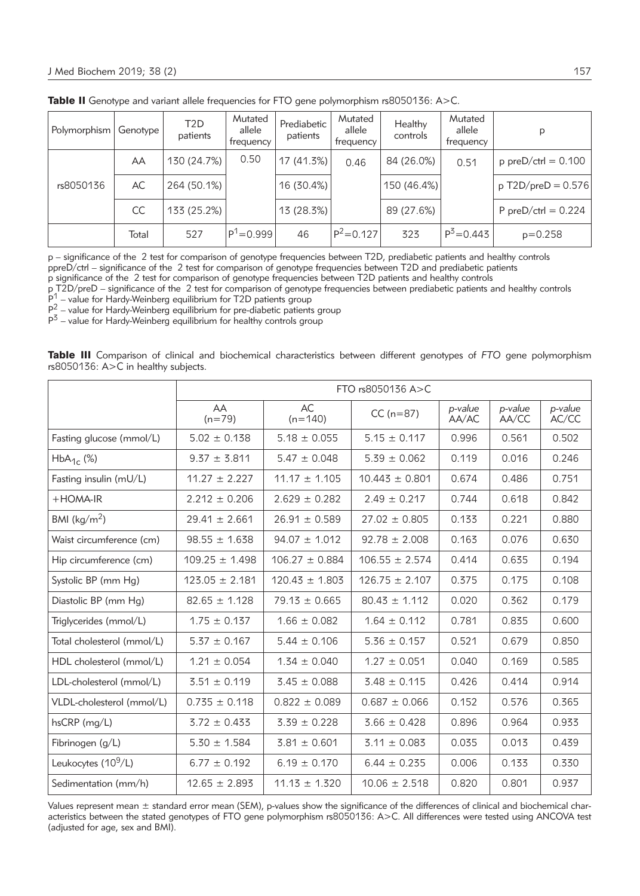| Polymorphism | Genotype ' | T2D<br>patients | Mutated<br>allele<br>trequency | Prediabetic<br>patients | Mutated<br>allele<br>trequency | Healthy<br>controls | Mutated<br>allele<br>frequency | p                     |
|--------------|------------|-----------------|--------------------------------|-------------------------|--------------------------------|---------------------|--------------------------------|-----------------------|
|              | AA         | 130 (24.7%)     | 0.50                           | 17 (41.3%)              | 0.46                           | 84 (26.0%)          | 0.51                           | $p$ preD/ctrl = 0.100 |
| rs8050136    | AC         | 264 (50.1%)     |                                | 16 (30.4%)              |                                | 150 (46.4%)         |                                | $p$ T2D/preD = 0.576  |
|              | CC         | 133 (25.2%)     |                                | 13 (28.3%)              |                                | 89 (27.6%)          |                                | P preD/ctrl = $0.224$ |
|              | Total      | 527             | $P^1 = 0.999$                  | 46                      | $IP^2=0.127$                   | 323                 | $P^3 = 0.443$                  | $p=0.258$             |

Table II Genotype and variant allele frequencies for FTO gene polymorphism rs8050136: A>C.

p – significance of the 2 test for comparison of genotype frequencies between T2D, prediabetic patients and healthy controls ppreD/ctrl – significance of the 2 test for comparison of genotype frequencies between T2D and prediabetic patients

p significance of the 2 test for comparison of genotype frequencies between T2D patients and healthy controls

p T2D/preD – significance of the 2 test for comparison of genotype frequencies between prediabetic patients and healthy controls  $P_1^1$  – value for Hardy-Weinberg equilibrium for T2D patients group

 $P_{-}^{2}$  – value for Hardy-Weinberg equilibrium for pre-diabetic patients group

 $P^3$  – value for Hardy-Weinberg equilibrium for healthy controls group

Table III Comparison of clinical and biochemical characteristics between different genotypes of *FTO* gene polymorphism rs8050136: A>C in healthy subjects.

|                                 |                    | FTO rs8050136 A>C  |                    |                  |                  |                  |  |  |  |  |
|---------------------------------|--------------------|--------------------|--------------------|------------------|------------------|------------------|--|--|--|--|
|                                 | AA<br>$(n=79)$     | AC<br>$(n=140)$    | $CC(n=87)$         | p-value<br>AA/AC | p-value<br>AA/CC | p-value<br>AC/CC |  |  |  |  |
| Fasting glucose (mmol/L)        | $5.02 \pm 0.138$   | $5.18 \pm 0.055$   | $5.15 \pm 0.117$   | 0.996            | 0.561            | 0.502            |  |  |  |  |
| $HbA_{1c}$ (%)                  | $9.37 \pm 3.811$   | $5.47 \pm 0.048$   | $5.39 \pm 0.062$   | 0.119            | 0.016            | 0.246            |  |  |  |  |
| Fasting insulin (mU/L)          | $11.27 \pm 2.227$  | $11.17 \pm 1.105$  | $10.443 \pm 0.801$ | 0.674            | 0.486            | 0.751            |  |  |  |  |
| $+$ HOMA-IR                     | $2.212 \pm 0.206$  | $2.629 \pm 0.282$  | $2.49 \pm 0.217$   | 0.744            | 0.618            | 0.842            |  |  |  |  |
| BMI ( $\text{kg/m}^2$ )         | $29.41 \pm 2.661$  | $26.91 \pm 0.589$  | $27.02 \pm 0.805$  | 0.133            | 0.221            | 0.880            |  |  |  |  |
| Waist circumference (cm)        | $98.55 \pm 1.638$  | $94.07 \pm 1.012$  | $92.78 \pm 2.008$  | 0.163            | 0.076            | 0.630            |  |  |  |  |
| Hip circumference (cm)          | $109.25 \pm 1.498$ | $106.27 \pm 0.884$ | $106.55 \pm 2.574$ | 0.414            | 0.635            | 0.194            |  |  |  |  |
| Systolic BP (mm Hg)             | $123.05 \pm 2.181$ | $120.43 \pm 1.803$ | $126.75 \pm 2.107$ | 0.375            | 0.175            | 0.108            |  |  |  |  |
| Diastolic BP (mm Hg)            | $82.65 \pm 1.128$  | $79.13 \pm 0.665$  | $80.43 \pm 1.112$  | 0.020            | 0.362            | 0.179            |  |  |  |  |
| Triglycerides (mmol/L)          | $1.75 \pm 0.137$   | $1.66 \pm 0.082$   | $1.64 \pm 0.112$   | 0.781            | 0.835            | 0.600            |  |  |  |  |
| Total cholesterol (mmol/L)      | $5.37 \pm 0.167$   | $5.44 \pm 0.106$   | $5.36 \pm 0.157$   | 0.521            | 0.679            | 0.850            |  |  |  |  |
| HDL cholesterol (mmol/L)        | $1.21 \pm 0.054$   | $1.34 \pm 0.040$   | $1.27 \pm 0.051$   | 0.040            | 0.169            | 0.585            |  |  |  |  |
| LDL-cholesterol (mmol/L)        | $3.51 \pm 0.119$   | $3.45 \pm 0.088$   | $3.48 \pm 0.115$   | 0.426            | 0.414            | 0.914            |  |  |  |  |
| VLDL-cholesterol (mmol/L)       | $0.735 \pm 0.118$  | $0.822 \pm 0.089$  | $0.687 \pm 0.066$  | 0.152            | 0.576            | 0.365            |  |  |  |  |
| hsCRP (mg/L)                    | $3.72 \pm 0.433$   | $3.39 \pm 0.228$   | $3.66 \pm 0.428$   | 0.896            | 0.964            | 0.933            |  |  |  |  |
| Fibrinogen (g/L)                | $5.30 \pm 1.584$   | $3.81 \pm 0.601$   | $3.11 \pm 0.083$   | 0.035            | 0.013            | 0.439            |  |  |  |  |
| Leukocytes (10 <sup>9</sup> /L) | $6.77 \pm 0.192$   | $6.19 \pm 0.170$   | $6.44 \pm 0.235$   | 0.006            | 0.133            | 0.330            |  |  |  |  |
| Sedimentation (mm/h)            | $12.65 \pm 2.893$  | $11.13 \pm 1.320$  | $10.06 \pm 2.518$  | 0.820            | 0.801            | 0.937            |  |  |  |  |

Values represent mean ± standard error mean (SEM), p-values show the significance of the differences of clinical and biochemical characteristics between the stated genotypes of FTO gene polymorphism rs8050136: A>C. All differences were tested using ANCOVA test (adjusted for age, sex and BMI).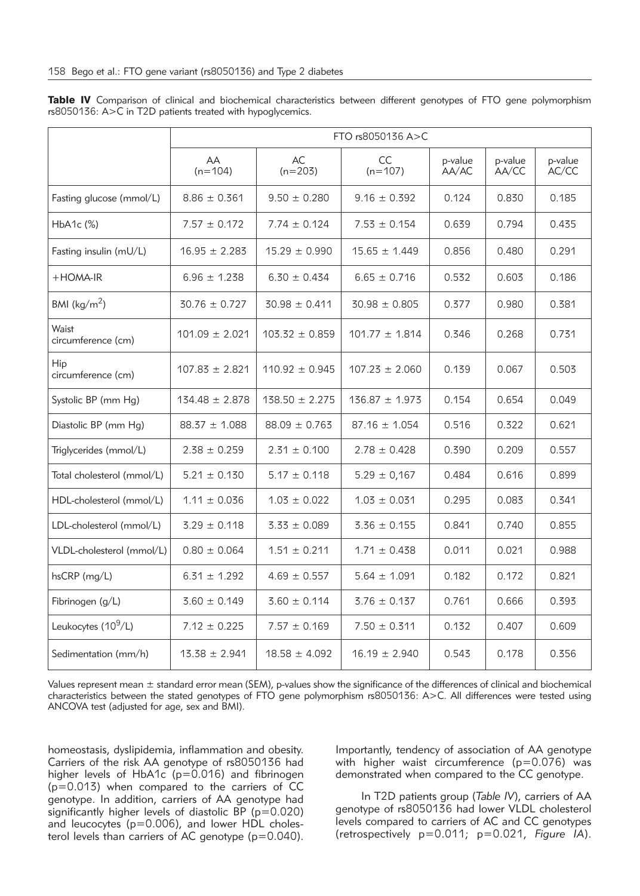|                                 | FTO rs8050136 A>C  |                    |                    |                  |                  |                  |  |  |  |
|---------------------------------|--------------------|--------------------|--------------------|------------------|------------------|------------------|--|--|--|
|                                 | AA<br>$(n=104)$    | AC<br>$(n=203)$    | CC<br>$(n=107)$    | p-value<br>AA/AC | p-value<br>AA/CC | p-value<br>AC/CC |  |  |  |
| Fasting glucose (mmol/L)        | $8.86 \pm 0.361$   | $9.50 \pm 0.280$   | $9.16 \pm 0.392$   | 0.124            | 0.830            | 0.185            |  |  |  |
| $HbA1c$ $(\%)$                  | $7.57 \pm 0.172$   | $7.74 \pm 0.124$   | $7.53 \pm 0.154$   | 0.639            | 0.794            | 0.435            |  |  |  |
| Fasting insulin (mU/L)          | $16.95 \pm 2.283$  | $15.29 \pm 0.990$  | $15.65 \pm 1.449$  | 0.856            | 0.480            | 0.291            |  |  |  |
| $+$ HOMA-IR                     | $6.96 \pm 1.238$   | $6.30 \pm 0.434$   | $6.65 \pm 0.716$   | 0.532            | 0.603            | 0.186            |  |  |  |
| BMI ( $\text{kg/m}^2$ )         | $30.76 \pm 0.727$  | $30.98 \pm 0.411$  | $30.98 \pm 0.805$  | 0.377            | 0.980            | 0.381            |  |  |  |
| Waist<br>circumference (cm)     | $101.09 \pm 2.021$ | $103.32 \pm 0.859$ | $101.77 \pm 1.814$ | 0.346            | 0.268            | 0.731            |  |  |  |
| Hip<br>circumference (cm)       | $107.83 \pm 2.821$ | $110.92 \pm 0.945$ | $107.23 \pm 2.060$ | 0.139            | 0.067            | 0.503            |  |  |  |
| Systolic BP (mm Hg)             | $134.48 \pm 2.878$ | $138.50 \pm 2.275$ | $136.87 \pm 1.973$ | 0.154            | 0.654            | 0.049            |  |  |  |
| Diastolic BP (mm Hg)            | $88.37 \pm 1.088$  | $88.09 \pm 0.763$  | $87.16 \pm 1.054$  | 0.516            | 0.322            | 0.621            |  |  |  |
| Triglycerides (mmol/L)          | $2.38 \pm 0.259$   | $2.31 \pm 0.100$   | $2.78 \pm 0.428$   | 0.390            | 0.209            | 0.557            |  |  |  |
| Total cholesterol (mmol/L)      | $5.21 \pm 0.130$   | $5.17 \pm 0.118$   | $5.29 \pm 0.167$   | 0.484            | 0.616            | 0.899            |  |  |  |
| HDL-cholesterol (mmol/L)        | $1.11 \pm 0.036$   | $1.03 \pm 0.022$   | $1.03 \pm 0.031$   | 0.295            | 0.083            | 0.341            |  |  |  |
| LDL-cholesterol (mmol/L)        | $3.29 \pm 0.118$   | $3.33 \pm 0.089$   | $3.36 \pm 0.155$   | 0.841            | 0.740            | 0.855            |  |  |  |
| VLDL-cholesterol (mmol/L)       | $0.80 \pm 0.064$   | $1.51 \pm 0.211$   | $1.71 \pm 0.438$   | 0.011            | 0.021            | 0.988            |  |  |  |
| $hsCRP$ (mg/L)                  | $6.31 \pm 1.292$   | $4.69 \pm 0.557$   | $5.64 \pm 1.091$   | 0.182            | 0.172            | 0.821            |  |  |  |
| Fibrinogen (g/L)                | $3.60 \pm 0.149$   | $3.60 \pm 0.114$   | $3.76 \pm 0.137$   | 0.761            | 0.666            | 0.393            |  |  |  |
| Leukocytes (10 <sup>9</sup> /L) | $7.12 \pm 0.225$   | $7.57 \pm 0.169$   | $7.50 \pm 0.311$   | 0.132            | 0.407            | 0.609            |  |  |  |
| Sedimentation (mm/h)            | $13.38 \pm 2.941$  | $18.58 \pm 4.092$  | $16.19 \pm 2.940$  | 0.543            | 0.178            | 0.356            |  |  |  |

Table IV Comparison of clinical and biochemical characteristics between different genotypes of FTO gene polymorphism rs8050136: A>C in T2D patients treated with hypoglycemics.

Values represent mean ± standard error mean (SEM), p-values show the significance of the differences of clinical and biochemical characteristics between the stated genotypes of FTO gene polymorphism rs8050136: A>C. All differences were tested using ANCOVA test (adjusted for age, sex and BMI).

homeostasis, dyslipidemia, inflammation and obesity. Carriers of the risk AA genotype of rs8050136 had higher levels of HbA1c ( $p=0.016$ ) and fibrinogen (p=0.013) when compared to the carriers of CC genotype. In addition, carriers of AA genotype had significantly higher levels of diastolic BP (p=0.020) and leucocytes (p=0.006), and lower HDL cholesterol levels than carriers of AC genotype  $(p=0.040)$ . Importantly, tendency of association of AA genotype with higher waist circumference  $(p=0.076)$  was demonstrated when compared to the CC genotype.

In T2D patients group (*Table IV*), carriers of AA genotype of rs8050136 had lower VLDL cholesterol levels compared to carriers of AC and CC genotypes (retrospectively p=0.011; p=0.021, *Figure IA*).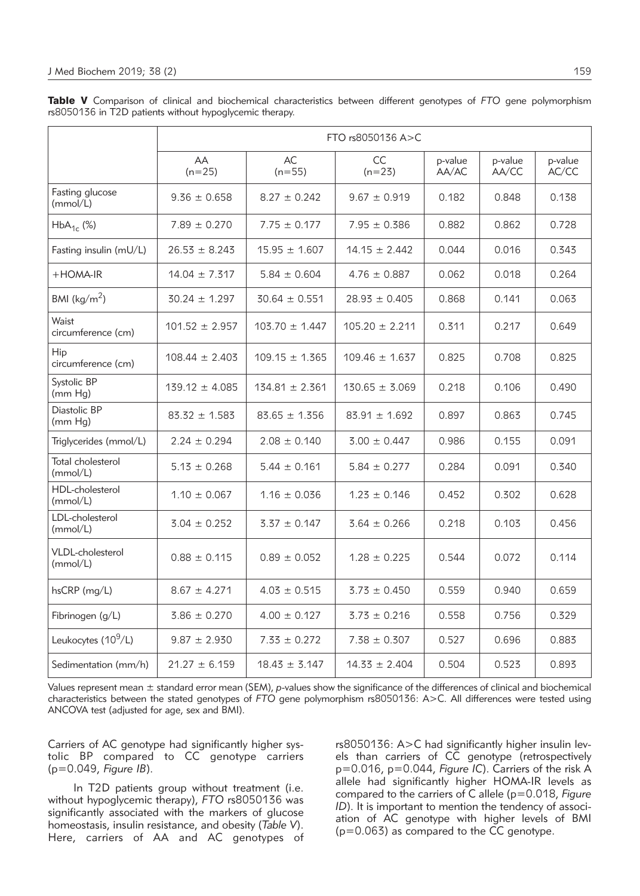|                                 | FTO rs8050136 A>C  |                    |                    |                  |                  |                  |  |  |  |
|---------------------------------|--------------------|--------------------|--------------------|------------------|------------------|------------------|--|--|--|
|                                 | AA<br>$(n=25)$     | AC<br>$(n=55)$     | CC<br>$(n=23)$     | p-value<br>AA/AC | p-value<br>AA/CC | p-value<br>AC/CC |  |  |  |
| Fasting glucose<br>(mmol/L)     | $9.36 \pm 0.658$   | $8.27 \pm 0.242$   | $9.67 \pm 0.919$   | 0.182            | 0.848            | 0.138            |  |  |  |
| $HbA_{1c}$ (%)                  | $7.89 \pm 0.270$   | $7.75 \pm 0.177$   | $7.95 \pm 0.386$   | 0.882            | 0.862            | 0.728            |  |  |  |
| Fasting insulin (mU/L)          | $26.53 \pm 8.243$  | $15.95 \pm 1.607$  | $14.15 \pm 2.442$  | 0.044            | 0.016            | 0.343            |  |  |  |
| $+$ HOMA-IR                     | $14.04 \pm 7.317$  | $5.84 \pm 0.604$   | $4.76 \pm 0.887$   | 0.062            | 0.018            | 0.264            |  |  |  |
| BMI ( $\text{kg/m}^2$ )         | $30.24 \pm 1.297$  | $30.64 \pm 0.551$  | $28.93 \pm 0.405$  | 0.868            | 0.141            | 0.063            |  |  |  |
| Waist<br>circumference (cm)     | $101.52 \pm 2.957$ | $103.70 \pm 1.447$ | $105.20 \pm 2.211$ | 0.311            | 0.217            | 0.649            |  |  |  |
| Hip<br>circumference (cm)       | $108.44 \pm 2.403$ | $109.15 \pm 1.365$ | $109.46 \pm 1.637$ | 0.825            | 0.708            | 0.825            |  |  |  |
| Systolic BP<br>(mm Hg)          | $139.12 \pm 4.085$ | $134.81 \pm 2.361$ | $130.65 \pm 3.069$ | 0.218            | 0.106            | 0.490            |  |  |  |
| Diastolic BP<br>(mm Hg)         | $83.32 \pm 1.583$  | $83.65 \pm 1.356$  | $83.91 \pm 1.692$  | 0.897            | 0.863            | 0.745            |  |  |  |
| Triglycerides (mmol/L)          | $2.24 \pm 0.294$   | $2.08 \pm 0.140$   | $3.00 \pm 0.447$   | 0.986            | 0.155            | 0.091            |  |  |  |
| Total cholesterol<br>(mmol/L)   | $5.13 \pm 0.268$   | $5.44 \pm 0.161$   | $5.84 \pm 0.277$   | 0.284            | 0.091            | 0.340            |  |  |  |
| HDL-cholesterol<br>(mmol/L)     | $1.10 \pm 0.067$   | $1.16 \pm 0.036$   | $1.23 \pm 0.146$   | 0.452            | 0.302            | 0.628            |  |  |  |
| LDL-cholesterol<br>(mmol/L)     | $3.04 \pm 0.252$   | $3.37 \pm 0.147$   | $3.64 \pm 0.266$   | 0.218            | 0.103            | 0.456            |  |  |  |
| VLDL-cholesterol<br>(mmol/L)    | $0.88 \pm 0.115$   | $0.89 \pm 0.052$   | $1.28 \pm 0.225$   | 0.544            | 0.072            | 0.114            |  |  |  |
| hsCRP (mg/L)                    | $8.67 \pm 4.271$   | $4.03 \pm 0.515$   | $3.73 \pm 0.450$   | 0.559            | 0.940            | 0.659            |  |  |  |
| Fibrinogen (g/L)                | $3.86 \pm 0.270$   | $4.00 \pm 0.127$   | $3.73 \pm 0.216$   | 0.558            | 0.756            | 0.329            |  |  |  |
| Leukocytes (10 <sup>9</sup> /L) | $9.87 \pm 2.930$   | $7.33 \pm 0.272$   | $7.38 \pm 0.307$   | 0.527            | 0.696            | 0.883            |  |  |  |
| Sedimentation (mm/h)            | $21.27 \pm 6.159$  | $18.43 \pm 3.147$  | $14.33 \pm 2.404$  | 0.504            | 0.523            | 0.893            |  |  |  |

Table V Comparison of clinical and biochemical characteristics between different genotypes of *FTO* gene polymorphism rs8050136 in T2D patients without hypoglycemic therapy.

Values represent mean ± standard error mean (SEM), *p*-values show the significance of the differences of clinical and biochemical characteristics between the stated genotypes of *FTO* gene polymorphism rs8050136: A>C. All differences were tested using ANCOVA test (adjusted for age, sex and BMI).

Carriers of AC genotype had significantly higher systolic BP compared to CC genotype carriers (p=0.049, *Figure IB*).

In T2D patients group without treatment (i.e. without hypoglycemic therapy), *FTO* rs8050136 was significantly associated with the markers of glucose homeostasis, insulin resistance, and obesity (*Table V*). Here, carriers of AA and AC genotypes of rs8050136: A>C had significantly higher insulin levels than carriers of CC genotype (retrospectively p=0.016, p=0.044, *Figure IC*). Carriers of the risk A allele had significantly higher HOMA-IR levels as compared to the carriers of C allele (p=0.018, *Figure ID*). It is important to mention the tendency of association of AC genotype with higher levels of BMI (p=0.063) as compared to the CC genotype.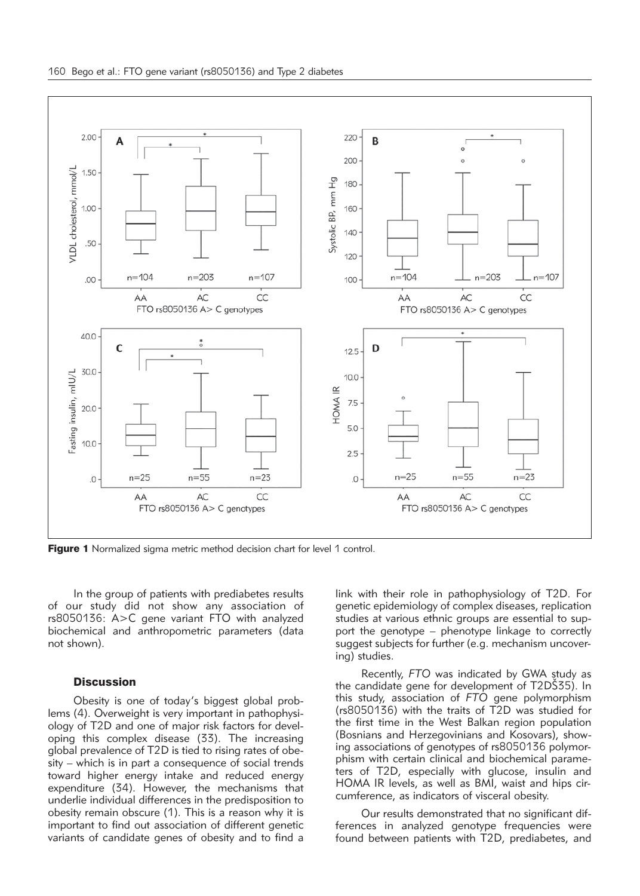

**Figure 1** Normalized sigma metric method decision chart for level 1 control.

In the group of patients with prediabetes results of our study did not show any association of rs8050136: A>C gene variant FTO with analyzed biochemical and anthropometric parameters (data not shown).

### **Discussion**

Obesity is one of today's biggest global problems (4). Overweight is very important in pathophysiology of T2D and one of major risk factors for developing this complex disease (33). The increasing global prevalence of T2D is tied to rising rates of obesity – which is in part a consequence of social trends toward higher energy intake and reduced energy expenditure (34). However, the mechanisms that underlie individual differences in the predisposition to obesity remain obscure (1). This is a reason why it is important to find out association of different genetic variants of candidate genes of obesity and to find a link with their role in pathophysiology of T2D. For genetic epidemiology of complex diseases, replication studies at various ethnic groups are essential to support the genotype – phenotype linkage to correctly suggest subjects for further (e.g. mechanism uncovering) studies.

Recently, *FTO* was indicated by GWA study as the candidate gene for development of T2DS35). In this study, association of *FTO* gene polymorphism (rs8050136) with the traits of T2D was studied for the first time in the West Balkan region population (Bosnians and Herzegovinians and Kosovars), showing associations of genotypes of rs8050136 polymorphism with certain clinical and biochemical parameters of T2D, especially with glucose, insulin and HOMA IR levels, as well as BMI, waist and hips circumference, as indicators of visceral obesity.

Our results demonstrated that no significant differences in analyzed genotype frequencies were found between patients with T2D, prediabetes, and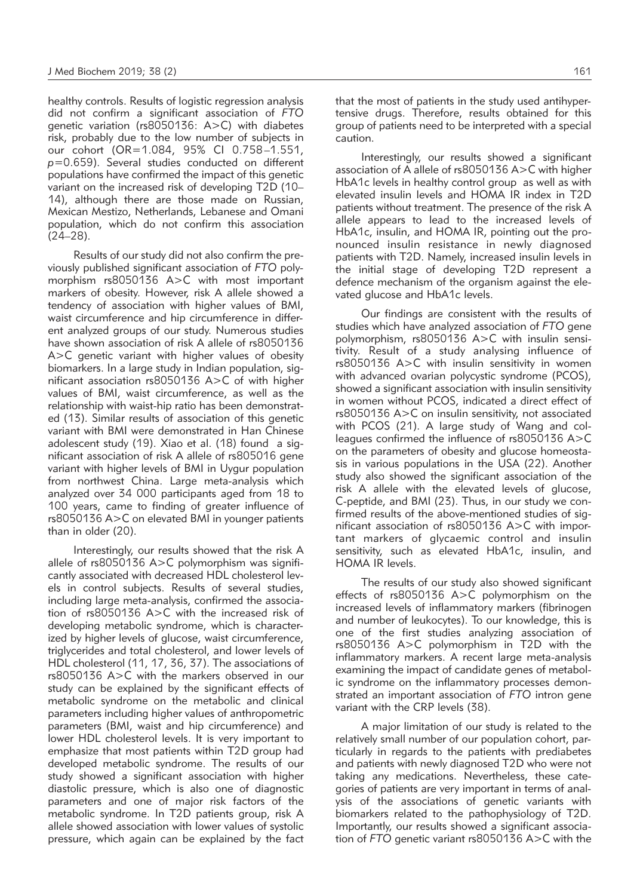healthy controls. Results of logistic regression analysis did not confirm a significant association of *FTO* genetic variation (rs8050136: A>C) with diabetes risk, probably due to the low number of subjects in our cohort (OR=1.084, 95% CI 0.758–1.551, *p*=0.659). Several studies conducted on different populations have confirmed the impact of this genetic variant on the increased risk of developing T2D (10– 14), although there are those made on Russian, Mexican Mestizo, Netherlands, Lebanese and Omani population, which do not confirm this association (24–28).

Results of our study did not also confirm the previously published significant association of *FTO* polymorphism rs8050136 A>C with most important markers of obesity. However, risk A allele showed a tendency of association with higher values of BMI, waist circumference and hip circumference in different analyzed groups of our study. Numerous studies have shown association of risk A allele of rs8050136 A>C genetic variant with higher values of obesity biomarkers. In a large study in Indian population, significant association rs8050136 A>C of with higher values of BMI, waist circumference, as well as the relationship with waist-hip ratio has been demonstrated (13). Similar results of association of this genetic variant with BMI were demonstrated in Han Chinese adolescent study (19). Xiao et al. (18) found a significant association of risk A allele of rs805016 gene variant with higher levels of BMI in Uygur population from northwest China. Large meta-analysis which analyzed over 34 000 participants aged from 18 to 100 years, came to finding of greater influence of rs8050136 A>C on elevated BMI in younger patients than in older (20).

Interestingly, our results showed that the risk A allele of rs8050136 A>C polymorphism was significantly associated with decreased HDL cholesterol levels in control subjects. Results of several studies, including large meta-analysis, confirmed the association of rs8050136 A>C with the increased risk of developing metabolic syndrome, which is characterized by higher levels of glucose, waist circumference, triglycerides and total cholesterol, and lower levels of HDL cholesterol (11, 17, 36, 37). The associations of rs8050136 A>C with the markers observed in our study can be explained by the significant effects of metabolic syndrome on the metabolic and clinical parameters including higher values of anthropometric parameters (BMI, waist and hip circumference) and lower HDL cholesterol levels. It is very important to emphasize that most patients within T2D group had developed metabolic syndrome. The results of our study showed a significant association with higher diastolic pressure, which is also one of diagnostic parameters and one of major risk factors of the metabolic syndrome. In T2D patients group, risk A allele showed association with lower values of systolic pressure, which again can be explained by the fact

that the most of patients in the study used antihypertensive drugs. Therefore, results obtained for this group of patients need to be interpreted with a special caution.

Interestingly, our results showed a significant association of A allele of rs8050136 A>C with higher HbA1c levels in healthy control group as well as with elevated insulin levels and HOMA IR index in T2D patients without treatment. The presence of the risk A allele appears to lead to the increased levels of HbA1c, insulin, and HOMA IR, pointing out the pronounced insulin resistance in newly diagnosed patients with T2D. Namely, increased insulin levels in the initial stage of developing T2D represent a defence mechanism of the organism against the elevated glucose and HbA1c levels.

Our findings are consistent with the results of studies which have analyzed association of *FTO* gene polymorphism, rs8050136 A>C with insulin sensitivity. Result of a study analysing influence of rs8050136 A>C with insulin sensitivity in women with advanced ovarian polycystic syndrome (PCOS), showed a significant association with insulin sensitivity in women without PCOS, indicated a direct effect of rs8050136 A>C on insulin sensitivity, not associated with PCOS (21). A large study of Wang and colleagues confirmed the influence of rs8050136 A>C on the parameters of obesity and glucose homeostasis in various populations in the USA (22). Another study also showed the significant association of the risk A allele with the elevated levels of glucose, C-peptide, and BMI (23). Thus, in our study we confirmed results of the above-mentioned studies of significant association of rs8050136 A>C with important markers of glycaemic control and insulin sensitivity, such as elevated HbA1c, insulin, and HOMA IR levels.

The results of our study also showed significant effects of rs8050136 A>C polymorphism on the increased levels of inflammatory markers (fibrinogen and number of leukocytes). To our knowledge, this is one of the first studies analyzing association of rs8050136 A>C polymorphism in T2D with the inflammatory markers. A recent large meta-analysis examining the impact of candidate genes of metabolic syndrome on the inflammatory processes demonstrated an important association of *FTO* intron gene variant with the CRP levels (38).

A major limitation of our study is related to the relatively small number of our population cohort, particularly in regards to the patients with prediabetes and patients with newly diagnosed T2D who were not taking any medications. Nevertheless, these categories of patients are very important in terms of analysis of the associations of genetic variants with biomarkers related to the pathophysiology of T2D. Importantly, our results showed a significant association of *FTO* genetic variant rs8050136 A>C with the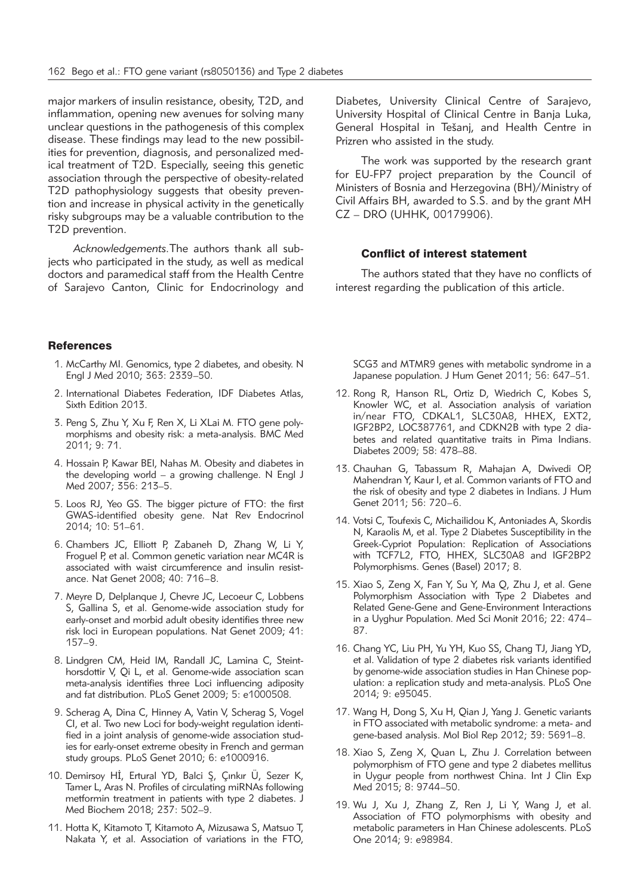major markers of insulin resistance, obesity, T2D, and inflammation, opening new avenues for solving many unclear questions in the pathogenesis of this complex disease. These findings may lead to the new possibilities for prevention, diagnosis, and personalized medical treatment of T2D. Especially, seeing this genetic association through the perspective of obesity-related T2D pathophysiology suggests that obesity prevention and increase in physical activity in the genetically risky subgroups may be a valuable contribution to the T2D prevention.

*Acknowledgements.*The authors thank all subjects who participated in the study, as well as medical doctors and paramedical staff from the Health Centre of Sarajevo Canton, Clinic for Endocrinology and

#### **References**

- 1. McCarthy MI. Genomics, type 2 diabetes, and obesity. N Engl J Med 2010; 363: 2339–50.
- 2. International Diabetes Federation, IDF Diabetes Atlas, Sixth Edition 2013.
- 3. Peng S, Zhu Y, Xu F, Ren X, Li XLai M. FTO gene polymorphisms and obesity risk: a meta-analysis. BMC Med 2011; 9: 71.
- 4. Hossain P, Kawar BEl, Nahas M. Obesity and diabetes in the developing world – a growing challenge. N Engl J Med 2007; 356: 213–5.
- 5. Loos RJ, Yeo GS. The bigger picture of FTO: the first GWAS-identified obesity gene. Nat Rev Endocrinol 2014; 10: 51–61.
- 6. Chambers JC, Elliott P, Zabaneh D, Zhang W, Li Y, Froguel P, et al. Common genetic variation near MC4R is associated with waist circumference and insulin resistance. Nat Genet 2008; 40: 716–8.
- 7. Meyre D, Delplanque J, Chevre JC, Lecoeur C, Lobbens S, Gallina S, et al. Genome-wide association study for early-onset and morbid adult obesity identifies three new risk loci in European populations. Nat Genet 2009; 41: 157–9.
- 8. Lindgren CM, Heid IM, Randall JC, Lamina C, Steinthorsdottir V, Qi L, et al. Genome-wide association scan meta-analysis identifies three Loci influencing adiposity and fat distribution. PLoS Genet 2009; 5: e1000508.
- 9. Scherag A, Dina C, Hinney A, Vatin V, Scherag S, Vogel CI, et al. Two new Loci for body-weight regulation identified in a joint analysis of genome-wide association studies for early-onset extreme obesity in French and german study groups. PLoS Genet 2010; 6: e1000916.
- 10. Demirsoy Hİ, Ertural YD, Balci S¸, Çınkır Ü, Sezer K, Tamer L, Aras N. Profiles of circulating miRNAs following metformin treatment in patients with type 2 diabetes. J Med Biochem 2018; 237: 502–9.
- 11. Hotta K, Kitamoto T, Kitamoto A, Mizusawa S, Matsuo T, Nakata Y, et al. Association of variations in the FTO,

Diabetes, University Clinical Centre of Sarajevo, University Hospital of Clinical Centre in Banja Luka, General Hospital in Tešanj, and Health Centre in Prizren who assisted in the study.

The work was supported by the research grant for EU-FP7 project preparation by the Council of Ministers of Bosnia and Herzegovina (BH)/Ministry of Civil Affairs BH, awarded to S.S. and by the grant MH CZ – DRO (UHHK, 00179906).

#### Conflict of interest statement

The authors stated that they have no conflicts of interest regarding the publication of this article.

SCG3 and MTMR9 genes with metabolic syndrome in a Japanese population. J Hum Genet 2011; 56: 647–51.

- 12. Rong R, Hanson RL, Ortiz D, Wiedrich C, Kobes S, Knowler WC, et al. Association analysis of variation in/near FTO, CDKAL1, SLC30A8, HHEX, EXT2, IGF2BP2, LOC387761, and CDKN2B with type 2 diabetes and related quantitative traits in Pima Indians. Diabetes 2009; 58: 478–88.
- 13. Chauhan G, Tabassum R, Mahajan A, Dwivedi OP, Mahendran Y, Kaur I, et al. Common variants of FTO and the risk of obesity and type 2 diabetes in Indians. J Hum Genet 2011; 56: 720–6.
- 14. Votsi C, Toufexis C, Michailidou K, Antoniades A, Skordis N, Karaolis M, et al. Type 2 Diabetes Susceptibility in the Greek-Cypriot Population: Replication of Associations with TCF7L2, FTO, HHEX, SLC30A8 and IGF2BP2 Polymorphisms. Genes (Basel) 2017; 8.
- 15. Xiao S, Zeng X, Fan Y, Su Y, Ma Q, Zhu J, et al. Gene Polymorphism Association with Type 2 Diabetes and Related Gene-Gene and Gene-Environment Interactions in a Uyghur Population. Med Sci Monit 2016; 22: 474– 87.
- 16. Chang YC, Liu PH, Yu YH, Kuo SS, Chang TJ, Jiang YD, et al. Validation of type 2 diabetes risk variants identified by genome-wide association studies in Han Chinese population: a replication study and meta-analysis. PLoS One 2014; 9: e95045.
- 17. Wang H, Dong S, Xu H, Qian J, Yang J. Genetic variants in FTO associated with metabolic syndrome: a meta- and gene-based analysis. Mol Biol Rep 2012; 39: 5691–8.
- 18. Xiao S, Zeng X, Quan L, Zhu J. Correlation between polymorphism of FTO gene and type 2 diabetes mellitus in Uygur people from northwest China. Int J Clin Exp Med 2015; 8: 9744–50.
- 19. Wu J, Xu J, Zhang Z, Ren J, Li Y, Wang J, et al. Association of FTO polymorphisms with obesity and metabolic parameters in Han Chinese adolescents. PLoS One 2014; 9: e98984.